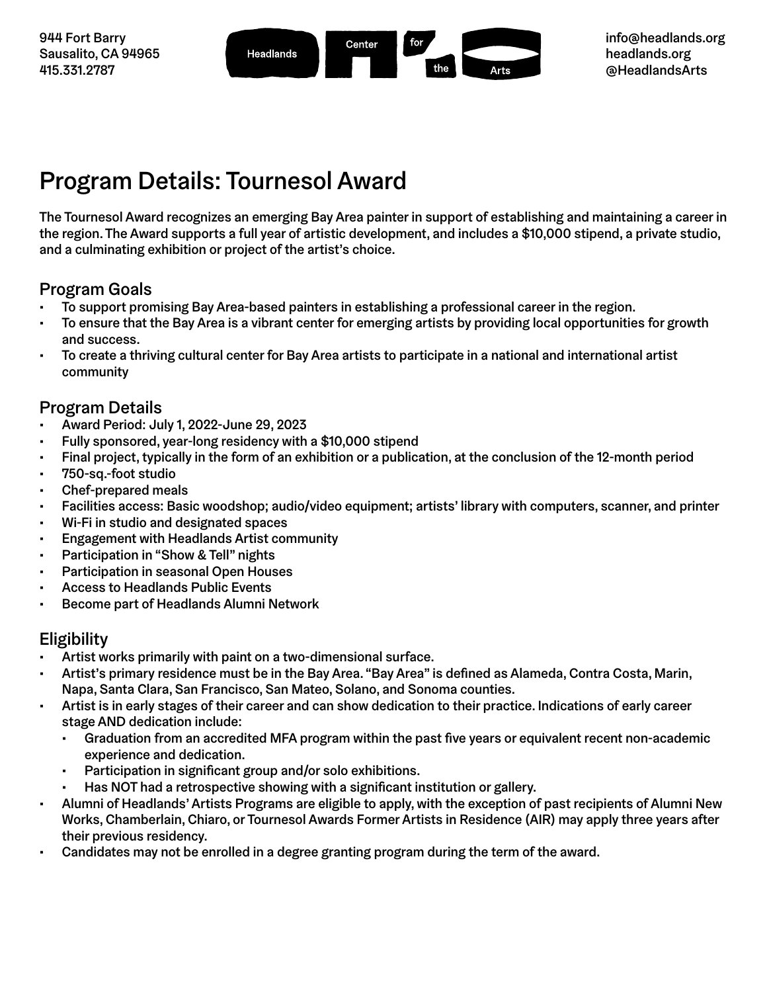

# Program Details: Tournesol Award

The Tournesol Award recognizes an emerging Bay Area painter in support of establishing and maintaining a career in the region. The Award supports a full year of artistic development, and includes a \$10,000 stipend, a private studio, and a culminating exhibition or project of the artist's choice.

### Program Goals

- To support promising Bay Area-based painters in establishing a professional career in the region.
- To ensure that the Bay Area is a vibrant center for emerging artists by providing local opportunities for growth and success.
- To create a thriving cultural center for Bay Area artists to participate in a national and international artist community

## Program Details

- Award Period: July 1, 2022-June 29, 2023
- Fully sponsored, year-long residency with a \$10,000 stipend
- Final project, typically in the form of an exhibition or a publication, at the conclusion of the 12-month period
- 750-sq.-foot studio
- Chef-prepared meals
- Facilities access: Basic woodshop; audio/video equipment; artists' library with computers, scanner, and printer
- Wi-Fi in studio and designated spaces
- Engagement with Headlands Artist community
- Participation in "Show & Tell" nights
- Participation in seasonal Open Houses
- Access to Headlands Public Events
- Become part of Headlands Alumni Network

### Eligibility

- Artist works primarily with paint on a two-dimensional surface.
- Artist's primary residence must be in the Bay Area. "Bay Area" is defined as Alameda, Contra Costa, Marin, Napa, Santa Clara, San Francisco, San Mateo, Solano, and Sonoma counties.
- Artist is in early stages of their career and can show dedication to their practice. Indications of early career stage AND dedication include:
	- Graduation from an accredited MFA program within the past five years or equivalent recent non-academic experience and dedication.
	- Participation in significant group and/or solo exhibitions.
	- Has NOT had a retrospective showing with a significant institution or gallery.
- Alumni of Headlands' Artists Programs are eligible to apply, with the exception of past recipients of Alumni New Works, Chamberlain, Chiaro, or Tournesol Awards Former Artists in Residence (AIR) may apply three years after their previous residency.
- Candidates may not be enrolled in a degree granting program during the term of the award.